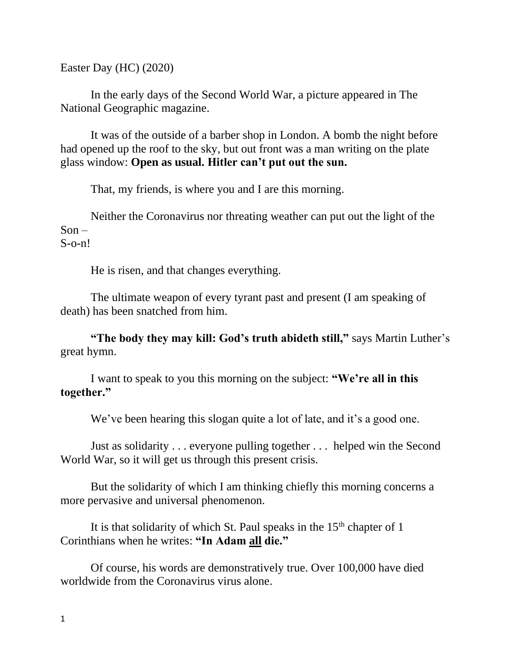Easter Day (HC) (2020)

In the early days of the Second World War, a picture appeared in The National Geographic magazine.

It was of the outside of a barber shop in London. A bomb the night before had opened up the roof to the sky, but out front was a man writing on the plate glass window: **Open as usual. Hitler can't put out the sun.**

That, my friends, is where you and I are this morning.

Neither the Coronavirus nor threating weather can put out the light of the  $Son -$ 

 $S$ -o-n!

He is risen, and that changes everything.

The ultimate weapon of every tyrant past and present (I am speaking of death) has been snatched from him.

**"The body they may kill: God's truth abideth still,"** says Martin Luther's great hymn.

I want to speak to you this morning on the subject: **"We're all in this together."**

We've been hearing this slogan quite a lot of late, and it's a good one.

Just as solidarity . . . everyone pulling together . . . helped win the Second World War, so it will get us through this present crisis.

But the solidarity of which I am thinking chiefly this morning concerns a more pervasive and universal phenomenon.

It is that solidarity of which St. Paul speaks in the  $15<sup>th</sup>$  chapter of 1 Corinthians when he writes: **"In Adam all die."**

Of course, his words are demonstratively true. Over 100,000 have died worldwide from the Coronavirus virus alone.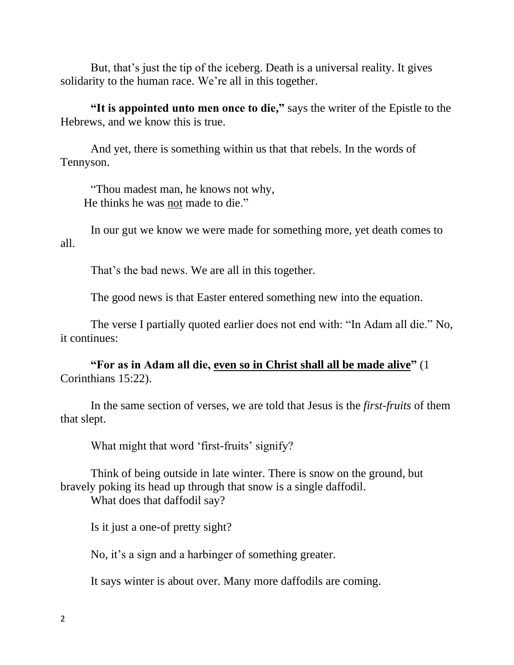But, that's just the tip of the iceberg. Death is a universal reality. It gives solidarity to the human race. We're all in this together.

"It is appointed unto men once to die," says the writer of the Epistle to the Hebrews, and we know this is true.

And yet, there is something within us that that rebels. In the words of Tennyson.

"Thou madest man, he knows not why, He thinks he was not made to die."

In our gut we know we were made for something more, yet death comes to all.

That's the bad news. We are all in this together.

The good news is that Easter entered something new into the equation.

The verse I partially quoted earlier does not end with: "In Adam all die." No, it continues:

**"For as in Adam all die, even so in Christ shall all be made alive"** (1 Corinthians 15:22).

In the same section of verses, we are told that Jesus is the *first-fruits* of them that slept.

What might that word 'first-fruits' signify?

Think of being outside in late winter. There is snow on the ground, but bravely poking its head up through that snow is a single daffodil.

What does that daffodil say?

Is it just a one-of pretty sight?

No, it's a sign and a harbinger of something greater.

It says winter is about over. Many more daffodils are coming.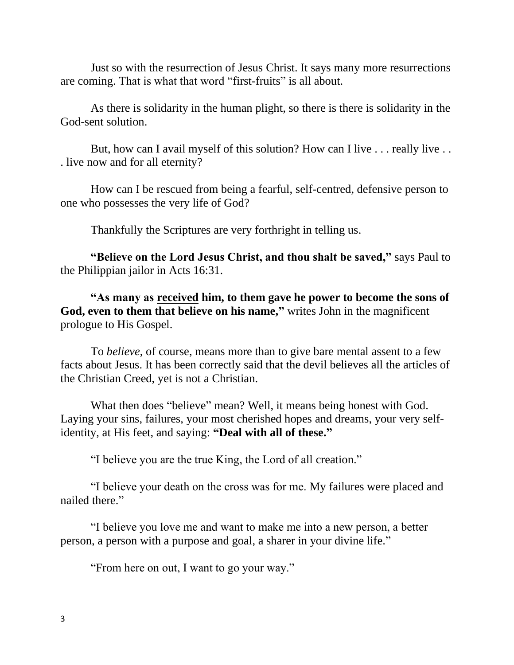Just so with the resurrection of Jesus Christ. It says many more resurrections are coming. That is what that word "first-fruits" is all about.

As there is solidarity in the human plight, so there is there is solidarity in the God-sent solution.

But, how can I avail myself of this solution? How can I live ... really live ... . live now and for all eternity?

How can I be rescued from being a fearful, self-centred, defensive person to one who possesses the very life of God?

Thankfully the Scriptures are very forthright in telling us.

**"Believe on the Lord Jesus Christ, and thou shalt be saved,"** says Paul to the Philippian jailor in Acts 16:31.

**"As many as received him, to them gave he power to become the sons of God, even to them that believe on his name, "** writes John in the magnificent prologue to His Gospel.

To *believe*, of course, means more than to give bare mental assent to a few facts about Jesus. It has been correctly said that the devil believes all the articles of the Christian Creed, yet is not a Christian.

What then does "believe" mean? Well, it means being honest with God. Laying your sins, failures, your most cherished hopes and dreams, your very selfidentity, at His feet, and saying: **"Deal with all of these."**

"I believe you are the true King, the Lord of all creation."

"I believe your death on the cross was for me. My failures were placed and nailed there."

"I believe you love me and want to make me into a new person, a better person, a person with a purpose and goal, a sharer in your divine life."

"From here on out, I want to go your way."